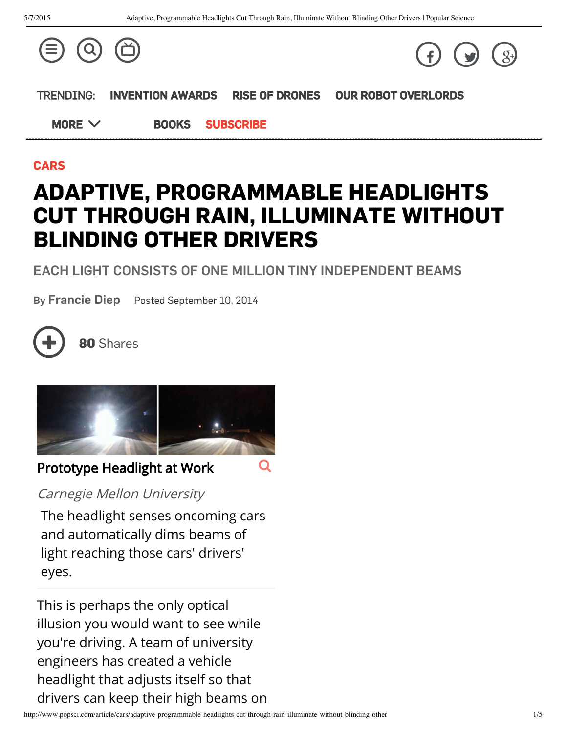

#### [CARS](http://www.popsci.com/tags/cars)

# ADAPTIVE, PROGRAMMABLE HEADLIGHTS CUT THROUGH RAIN, ILLUMINATE WITHOUT BLINDING OTHER DRIVERS

#### EACH LIGHT CONSISTS OF ONE MILLION TINY INDEPENDENT BEAMS

By [Francie](http://www.popsci.com/popsci-authors/francie-diep) Diep Posted September 10, 2014



<sup>80</sup> Shares



## Prototype Headlight at Work

Carnegie Mellon University

The headlight senses oncoming cars and automatically dims beams of light reaching those cars' drivers' eyes.

This is perhaps the only optical illusion you would want to see while you're driving. A team of university engineers has created a vehicle headlight that adjusts itself so that drivers can keep their high beams on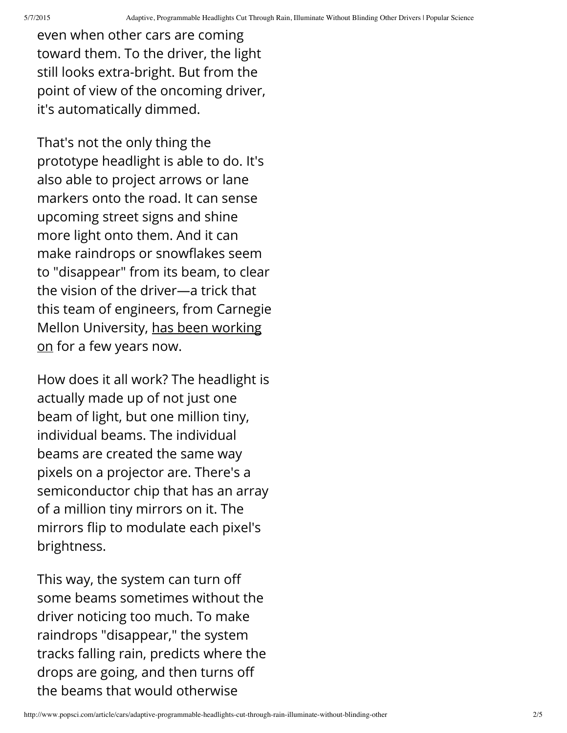even when other cars are coming toward them. To the driver, the light still looks extra-bright. But from the point of view of the oncoming driver, it's automatically dimmed.

That's not the only thing the prototype headlight is able to do. It's also able to project arrows or lane markers onto the road. It can sense upcoming street signs and shine more light onto them. And it can make raindrops or snowflakes seem to "disappear" from its beam, to clear the vision of the driver—a trick that this team of engineers, from Carnegie Mellon [University,](http://www.popsci.com/cars/article/2013-04/new-headlights-make-rain-disappear) has been working on for a few years now.

How does it all work? The headlight is actually made up of not just one beam of light, but one million tiny, individual beams. The individual beams are created the same way pixels on a projector are. There's a semiconductor chip that has an array of a million tiny mirrors on it. The mirrors flip to modulate each pixel's brightness.

This way, the system can turn off some beams sometimes without the driver noticing too much. To make raindrops "disappear," the system tracks falling rain, predicts where the drops are going, and then turns off the beams that would otherwise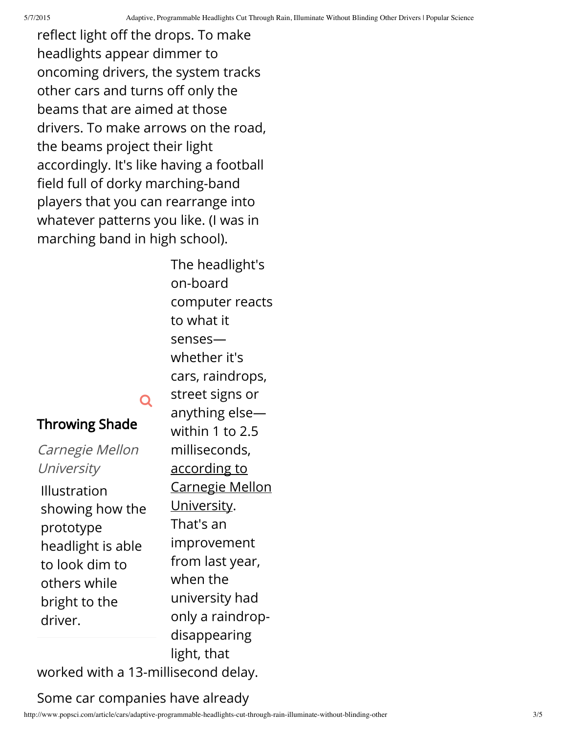reflect light off the drops. To make headlights appear dimmer to oncoming drivers, the system tracks other cars and turns off only the beams that are aimed at those drivers. To make arrows on the road, the beams project their light accordingly. It's like having a football field full of dorky marching-band players that you can rearrange into whatever patterns you like. (I was in marching band in high school).

> The headlight's on-board computer reacts to what it senses whether it's cars, raindrops, street signs or anything else within 1 to 2.5 milliseconds, according to Carnegie Mellon [University.](http://www.cmu.edu/news/stories/archives/2014/september/september9_smartheadlights.html) That's an improvement from last year, when the university had only a raindropdisappearing

# Throwing Shade

Carnegie Mellon **University** Illustration showing how the prototype headlight is able to look dim to others while bright to the driver.

worked with a 13-millisecond delay.

Q

## Some car companies have already

light, that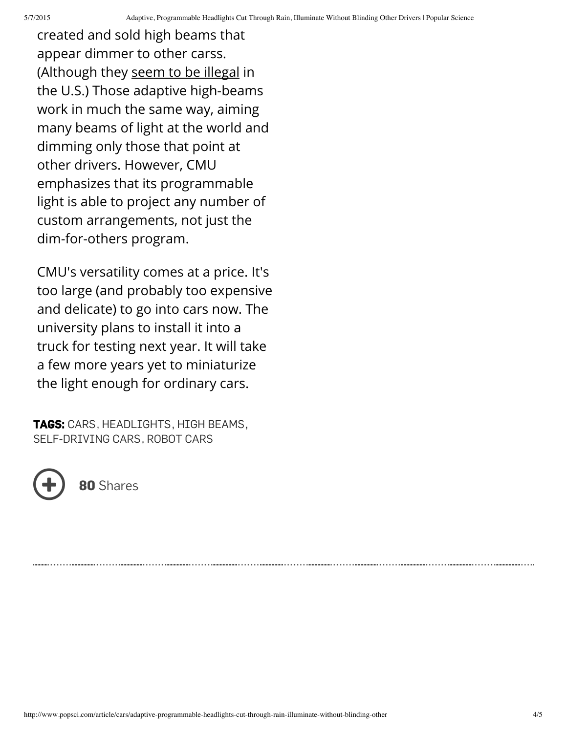created and sold high beams that appear dimmer to other carss. (Although they seem to be [illegal](http://www.autonews.com/article/20130513/OEM11/305139967/toyota-puts-high-beams-on-headlight-regulation) in the U.S.) Those adaptive high-beams work in much the same way, aiming many beams of light at the world and dimming only those that point at other drivers. However, CMU emphasizes that its programmable light is able to project any number of custom arrangements, not just the dim-for-others program.

CMU's versatility comes at a price. It's too large (and probably too expensive and delicate) to go into cars now. The university plans to install it into a truck for testing next year. It will take a few more years yet to miniaturize the light enough for ordinary cars.

TAGS: [CARS](http://www.popsci.com/tags/cars), [HEADLIGHTS](http://www.popsci.com/tags/headlights), HIGH [BEAMS](http://www.popsci.com/tags/high-beams), [SELF-DRIVING](http://www.popsci.com/tags/self-driving-cars) CARS, [ROBOT](http://www.popsci.com/tags/robot-cars) CARS



80 Shares